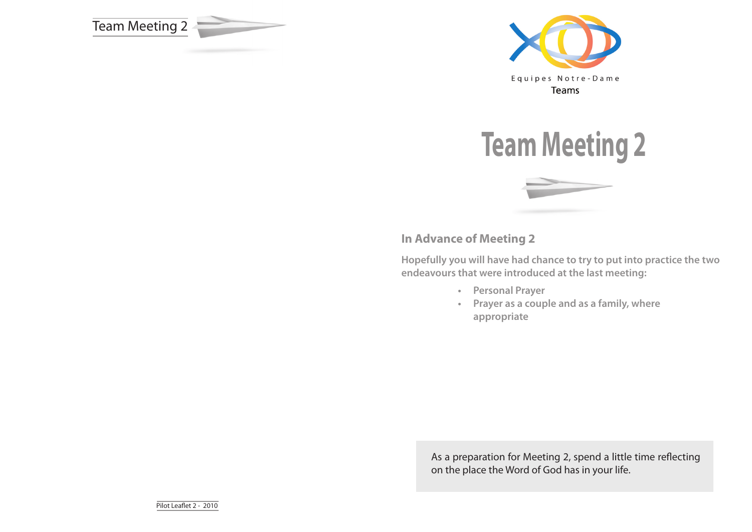







# **In Advance of Meeting 2**

**Hopefully you will have had chance to try to put into practice the two endeavours that were introduced at the last meeting:**

- **• Personal Prayer**
- **• Prayer as a couple and as a family, where appropriate**

As a preparation for Meeting 2, spend a little time reflecting on the place the Word of God has in your life.